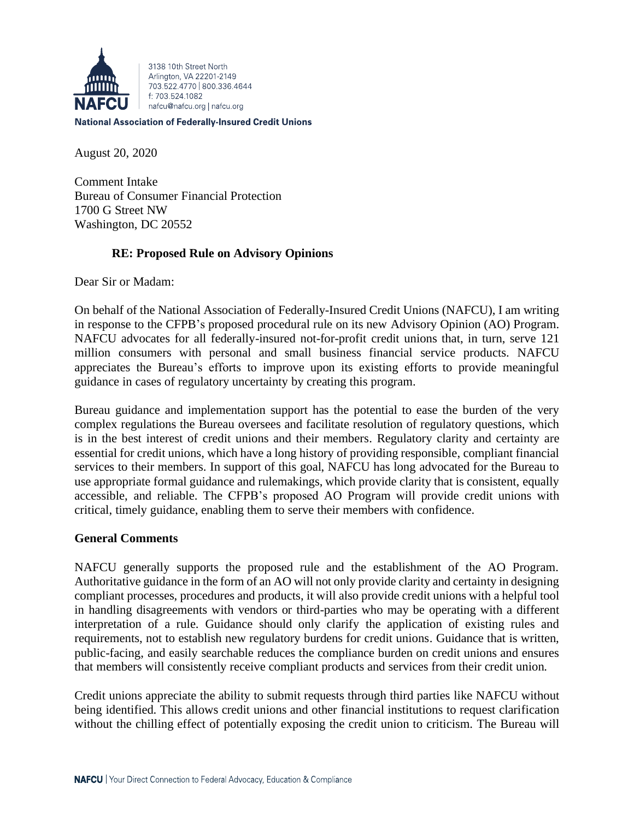

3138 10th Street North Arlington, VA 22201-2149 703 522 4770 800 336 4644 f: 703.524.1082 nafcu@nafcu.org | nafcu.org

#### **National Association of Federally-Insured Credit Unions**

August 20, 2020

Comment Intake Bureau of Consumer Financial Protection 1700 G Street NW Washington, DC 20552

# **RE: Proposed Rule on Advisory Opinions**

Dear Sir or Madam:

On behalf of the National Association of Federally-Insured Credit Unions (NAFCU), I am writing in response to the CFPB's proposed procedural rule on its new Advisory Opinion (AO) Program. NAFCU advocates for all federally-insured not-for-profit credit unions that, in turn, serve 121 million consumers with personal and small business financial service products. NAFCU appreciates the Bureau's efforts to improve upon its existing efforts to provide meaningful guidance in cases of regulatory uncertainty by creating this program.

Bureau guidance and implementation support has the potential to ease the burden of the very complex regulations the Bureau oversees and facilitate resolution of regulatory questions, which is in the best interest of credit unions and their members. Regulatory clarity and certainty are essential for credit unions, which have a long history of providing responsible, compliant financial services to their members. In support of this goal, NAFCU has long advocated for the Bureau to use appropriate formal guidance and rulemakings, which provide clarity that is consistent, equally accessible, and reliable. The CFPB's proposed AO Program will provide credit unions with critical, timely guidance, enabling them to serve their members with confidence.

## **General Comments**

NAFCU generally supports the proposed rule and the establishment of the AO Program. Authoritative guidance in the form of an AO will not only provide clarity and certainty in designing compliant processes, procedures and products, it will also provide credit unions with a helpful tool in handling disagreements with vendors or third-parties who may be operating with a different interpretation of a rule. Guidance should only clarify the application of existing rules and requirements, not to establish new regulatory burdens for credit unions. Guidance that is written, public-facing, and easily searchable reduces the compliance burden on credit unions and ensures that members will consistently receive compliant products and services from their credit union.

Credit unions appreciate the ability to submit requests through third parties like NAFCU without being identified. This allows credit unions and other financial institutions to request clarification without the chilling effect of potentially exposing the credit union to criticism. The Bureau will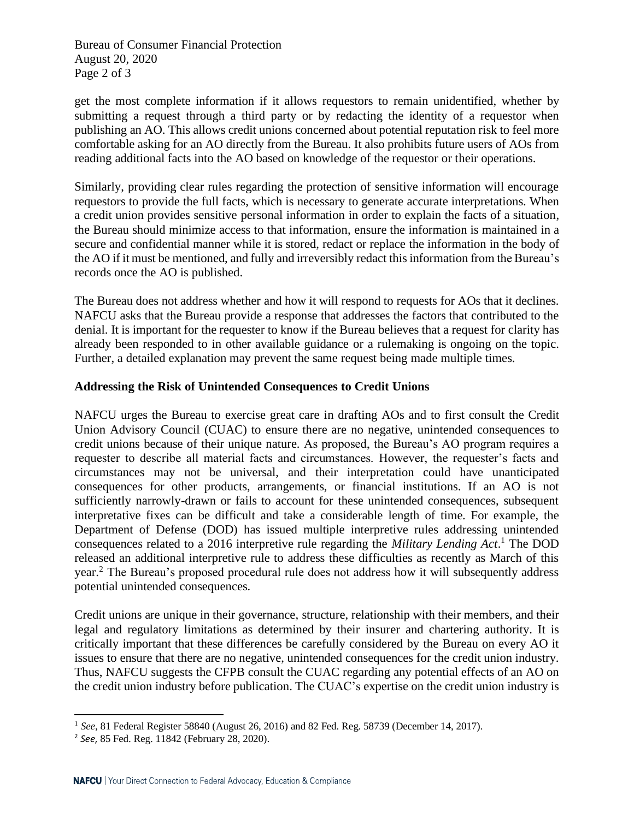Bureau of Consumer Financial Protection August 20, 2020 Page 2 of 3

get the most complete information if it allows requestors to remain unidentified, whether by submitting a request through a third party or by redacting the identity of a requestor when publishing an AO. This allows credit unions concerned about potential reputation risk to feel more comfortable asking for an AO directly from the Bureau. It also prohibits future users of AOs from reading additional facts into the AO based on knowledge of the requestor or their operations.

Similarly, providing clear rules regarding the protection of sensitive information will encourage requestors to provide the full facts, which is necessary to generate accurate interpretations. When a credit union provides sensitive personal information in order to explain the facts of a situation, the Bureau should minimize access to that information, ensure the information is maintained in a secure and confidential manner while it is stored, redact or replace the information in the body of the AO if it must be mentioned, and fully and irreversibly redact this information from the Bureau's records once the AO is published.

The Bureau does not address whether and how it will respond to requests for AOs that it declines. NAFCU asks that the Bureau provide a response that addresses the factors that contributed to the denial. It is important for the requester to know if the Bureau believes that a request for clarity has already been responded to in other available guidance or a rulemaking is ongoing on the topic. Further, a detailed explanation may prevent the same request being made multiple times.

## **Addressing the Risk of Unintended Consequences to Credit Unions**

NAFCU urges the Bureau to exercise great care in drafting AOs and to first consult the Credit Union Advisory Council (CUAC) to ensure there are no negative, unintended consequences to credit unions because of their unique nature. As proposed, the Bureau's AO program requires a requester to describe all material facts and circumstances. However, the requester's facts and circumstances may not be universal, and their interpretation could have unanticipated consequences for other products, arrangements, or financial institutions. If an AO is not sufficiently narrowly-drawn or fails to account for these unintended consequences, subsequent interpretative fixes can be difficult and take a considerable length of time. For example, the Department of Defense (DOD) has issued multiple interpretive rules addressing unintended consequences related to a 2016 interpretive rule regarding the *Military Lending Act*. <sup>1</sup> The DOD released an additional interpretive rule to address these difficulties as recently as March of this year.<sup>2</sup> The Bureau's proposed procedural rule does not address how it will subsequently address potential unintended consequences.

Credit unions are unique in their governance, structure, relationship with their members, and their legal and regulatory limitations as determined by their insurer and chartering authority. It is critically important that these differences be carefully considered by the Bureau on every AO it issues to ensure that there are no negative, unintended consequences for the credit union industry. Thus, NAFCU suggests the CFPB consult the CUAC regarding any potential effects of an AO on the credit union industry before publication. The CUAC's expertise on the credit union industry is

<sup>1</sup> *See*, 81 Federal Register 58840 (August 26, 2016) and 82 Fed. Reg. 58739 (December 14, 2017).

<sup>2</sup> *See*, 85 Fed. Reg. 11842 (February 28, 2020).